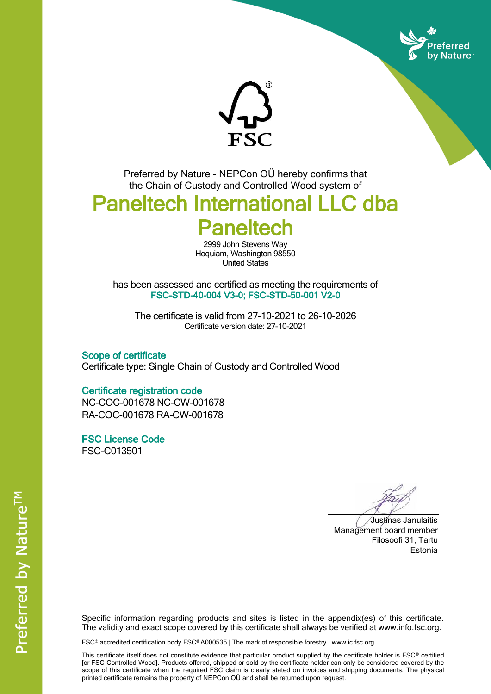



Preferred by Nature - NEPCon OÜ hereby confirms that the Chain of Custody and Controlled Wood system of

## Paneltech International LLC dba **Paneltech**

2999 John Stevens Way Hoquiam, Washington 98550 United States

has been assessed and certified as meeting the requirements of FSC-STD-40-004 V3-0; FSC-STD-50-001 V2-0

The certificate is valid from 27-10-2021 to 26-10-2026 Certificate version date: 27-10-2021

Scope of certificate Certificate type: Single Chain of Custody and Controlled Wood

## Certificate registration code

NC-COC-001678 NC-CW-001678 RA-COC-001678 RA-CW-001678

FSC License Code FSC-C013501

Justinas Janulaitis Management board member Filosoofi 31, Tartu Estonia

Specific information regarding products and sites is listed in the appendix(es) of this certificate. The validity and exact scope covered by this certificate shall always be verified at www.info.fsc.org.

FSC® accredited certification body FSC® A000535 | The mark of responsible forestry | www.ic.fsc.org

This certificate itself does not constitute evidence that particular product supplied by the certificate holder is FSC® certified [or FSC Controlled Wood]. Products offered, shipped or sold by the certificate holder can only be considered covered by the scope of this certificate when the required FSC claim is clearly stated on invoices and shipping documents. The physical printed certificate remains the property of NEPCon OÜ and shall be returned upon request.